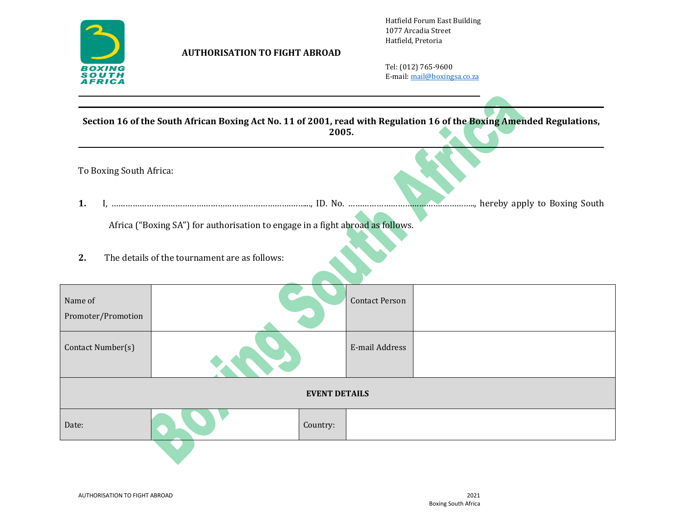

## **AUTHORISATION TO FIGHT ABROAD**

Hatfield Forum East Building 1077 Arcadia Street Hatfield, Pretoria

Tel: (012) 765-9600 E-mail[: mail@boxingsa.co.za](mailto:mail@boxingsa.co.za)

**Section 16 of the South African Boxing Act No. 11 of 2001, read with Regulation 16 of the Boxing Amended Regulations, 2005.**

To Boxing South Africa: **1.** I, ………………………………………………………………….……..., ID. No. ………………………………….………….., hereby apply to Boxing South Africa ("Boxing SA") for authorisation to engage in a fight abroad as follows. **2.** The details of the tournament are as follows:

| Name of<br>Promoter/Promotion |          | <b>Contact Person</b> |  |  |
|-------------------------------|----------|-----------------------|--|--|
| Contact Number(s)             |          | E-mail Address        |  |  |
| <b>EVENT DETAILS</b>          |          |                       |  |  |
| Date:                         | Country: |                       |  |  |
|                               |          |                       |  |  |